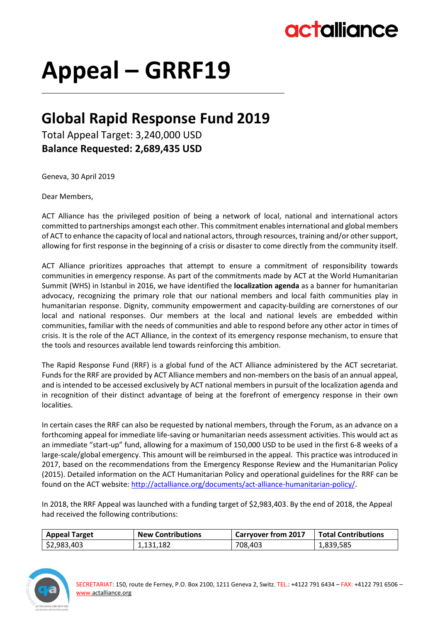## actalliance

# **Appeal – GRRF19**

### **Global Rapid Response Fund 2019**

Total Appeal Target: 3,240,000 USD **Balance Requested: 2,689,435 USD**

Geneva, 30 April 2019

Dear Members,

ACT Alliance has the privileged position of being a network of local, national and international actors committed to partnerships amongst each other. This commitment enables international and global members of ACT to enhance the capacity of local and national actors, through resources, training and/or other support, allowing for first response in the beginning of a crisis or disaster to come directly from the community itself.

ACT Alliance prioritizes approaches that attempt to ensure a commitment of responsibility towards communities in emergency response. As part of the commitments made by ACT at the World Humanitarian Summit (WHS) in Istanbul in 2016, we have identified the **localization agenda** as a banner for humanitarian advocacy, recognizing the primary role that our national members and local faith communities play in humanitarian response. Dignity, community empowerment and capacity-building are cornerstones of our local and national responses. Our members at the local and national levels are embedded within communities, familiar with the needs of communities and able to respond before any other actor in times of crisis. It is the role of the ACT Alliance, in the context of its emergency response mechanism, to ensure that the tools and resources available lend towards reinforcing this ambition.

The Rapid Response Fund (RRF) is a global fund of the ACT Alliance administered by the ACT secretariat. Funds for the RRF are provided by ACT Alliance members and non-members on the basis of an annual appeal, and is intended to be accessed exclusively by ACT national members in pursuit of the localization agenda and in recognition of their distinct advantage of being at the forefront of emergency response in their own localities.

In certain cases the RRF can also be requested by national members, through the Forum, as an advance on a forthcoming appeal for immediate life-saving or humanitarian needs assessment activities. This would act as an immediate "start-up" fund, allowing for a maximum of 150,000 USD to be used in the first 6-8 weeks of a large-scale/global emergency. This amount will be reimbursed in the appeal. This practice was introduced in 2017, based on the recommendations from the Emergency Response Review and the Humanitarian Policy (2015). Detailed information on the ACT Humanitarian Policy and operational guidelines for the RRF can be found on the ACT website: [http://actalliance.org/documents/act-alliance-humanitarian-policy/.](http://actalliance.org/documents/act-alliance-humanitarian-policy/)

In 2018, the RRF Appeal was launched with a funding target of \$2,983,403. By the end of 2018, the Appeal had received the following contributions:

| <b>Appeal Target</b> | <b>New Contributions</b> | <b>Carryover from 2017</b> | <b>Total Contributions</b> |
|----------------------|--------------------------|----------------------------|----------------------------|
| \$2,983,403          | 1,131,182                | 708,403                    | 1,839,585                  |

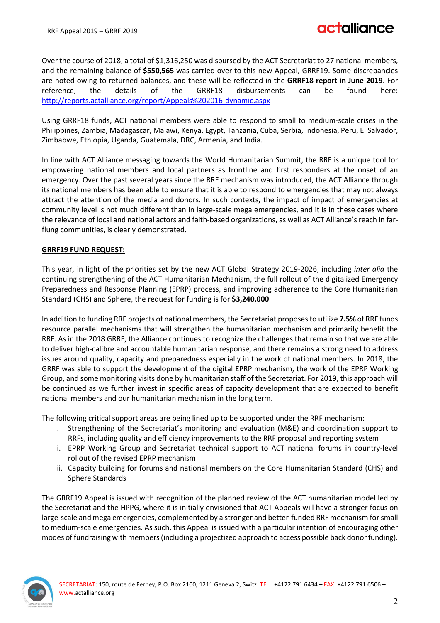Over the course of 2018, a total of \$1,316,250 was disbursed by the ACT Secretariat to 27 national members, and the remaining balance of **\$550,565** was carried over to this new Appeal, GRRF19. Some discrepancies are noted owing to returned balances, and these will be reflected in the **GRRF18 report in June 2019**. For reference, the details of the GRRF18 disbursements can be found here: <http://reports.actalliance.org/report/Appeals%202016-dynamic.aspx>

Using GRRF18 funds, ACT national members were able to respond to small to medium-scale crises in the Philippines, Zambia, Madagascar, Malawi, Kenya, Egypt, Tanzania, Cuba, Serbia, Indonesia, Peru, El Salvador, Zimbabwe, Ethiopia, Uganda, Guatemala, DRC, Armenia, and India.

In line with ACT Alliance messaging towards the World Humanitarian Summit, the RRF is a unique tool for empowering national members and local partners as frontline and first responders at the onset of an emergency. Over the past several years since the RRF mechanism was introduced, the ACT Alliance through its national members has been able to ensure that it is able to respond to emergencies that may not always attract the attention of the media and donors. In such contexts, the impact of impact of emergencies at community level is not much different than in large-scale mega emergencies, and it is in these cases where the relevance of local and national actors and faith-based organizations, as well as ACT Alliance's reach in farflung communities, is clearly demonstrated.

#### **GRRF19 FUND REQUEST:**

This year, in light of the priorities set by the new ACT Global Strategy 2019-2026, including *inter alia* the continuing strengthening of the ACT Humanitarian Mechanism, the full rollout of the digitalized Emergency Preparedness and Response Planning (EPRP) process, and improving adherence to the Core Humanitarian Standard (CHS) and Sphere, the request for funding is for **\$3,240,000**.

In addition to funding RRF projects of national members, the Secretariat proposes to utilize **7.5%** of RRF funds resource parallel mechanisms that will strengthen the humanitarian mechanism and primarily benefit the RRF. As in the 2018 GRRF, the Alliance continues to recognize the challenges that remain so that we are able to deliver high-calibre and accountable humanitarian response, and there remains a strong need to address issues around quality, capacity and preparedness especially in the work of national members. In 2018, the GRRF was able to support the development of the digital EPRP mechanism, the work of the EPRP Working Group, and some monitoring visits done by humanitarian staff of the Secretariat. For 2019, this approach will be continued as we further invest in specific areas of capacity development that are expected to benefit national members and our humanitarian mechanism in the long term.

The following critical support areas are being lined up to be supported under the RRF mechanism:

- i. Strengthening of the Secretariat's monitoring and evaluation (M&E) and coordination support to RRFs, including quality and efficiency improvements to the RRF proposal and reporting system
- ii. EPRP Working Group and Secretariat technical support to ACT national forums in country-level rollout of the revised EPRP mechanism
- iii. Capacity building for forums and national members on the Core Humanitarian Standard (CHS) and Sphere Standards

The GRRF19 Appeal is issued with recognition of the planned review of the ACT humanitarian model led by the Secretariat and the HPPG, where it is initially envisioned that ACT Appeals will have a stronger focus on large-scale and mega emergencies, complemented by a stronger and better-funded RRF mechanism for small to medium-scale emergencies. As such, this Appeal is issued with a particular intention of encouraging other modes of fundraising with members (including a projectized approach to access possible back donor funding).